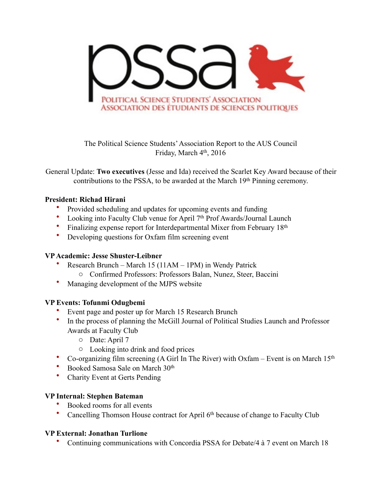

The Political Science Students' Association Report to the AUS Council Friday, March  $4<sup>th</sup>$ , 2016

General Update: **Two executives** (Jesse and Ida) received the Scarlet Key Award because of their contributions to the PSSA, to be awarded at the March 19<sup>th</sup> Pinning ceremony.

#### **President: Richad Hirani**

- Provided scheduling and updates for upcoming events and funding
- Looking into Faculty Club venue for April 7<sup>th</sup> Prof Awards/Journal Launch
- Finalizing expense report for Interdepartmental Mixer from February 18th
- Developing questions for Oxfam film screening event

# **VP Academic: Jesse Shuster-Leibner**

- Research Brunch March 15 (11AM 1PM) in Wendy Patrick
	- o Confirmed Professors: Professors Balan, Nunez, Steer, Baccini
- Managing development of the MJPS website

### **VP Events: Tofunmi Odugbemi**

- Event page and poster up for March 15 Research Brunch
- In the process of planning the McGill Journal of Political Studies Launch and Professor Awards at Faculty Club
	- o Date: April 7
	- o Looking into drink and food prices
- Co-organizing film screening (A Girl In The River) with Oxfam Event is on March  $15<sup>th</sup>$
- Booked Samosa Sale on March 30th
- Charity Event at Gerts Pending

### **VP Internal: Stephen Bateman**

- Booked rooms for all events
- Cancelling Thomson House contract for April 6<sup>th</sup> because of change to Faculty Club

### **VP External: Jonathan Turlione**

• Continuing communications with Concordia PSSA for Debate/4 à 7 event on March 18